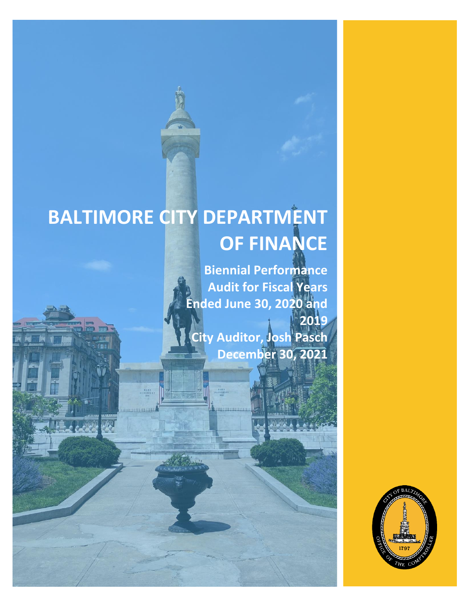# **BALTIMORE CITY DEPARTMENT OF FINANCE**

MA.

**Biennial Performance Audit for Fiscal Years Ended June 30, 2020 and 2019 City Auditor, Josh Pasch December 2021 December 30,**

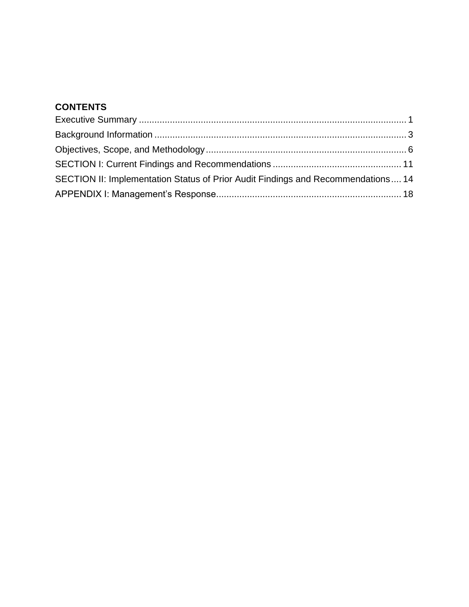## **CONTENTS**

| SECTION II: Implementation Status of Prior Audit Findings and Recommendations 14 |  |
|----------------------------------------------------------------------------------|--|
|                                                                                  |  |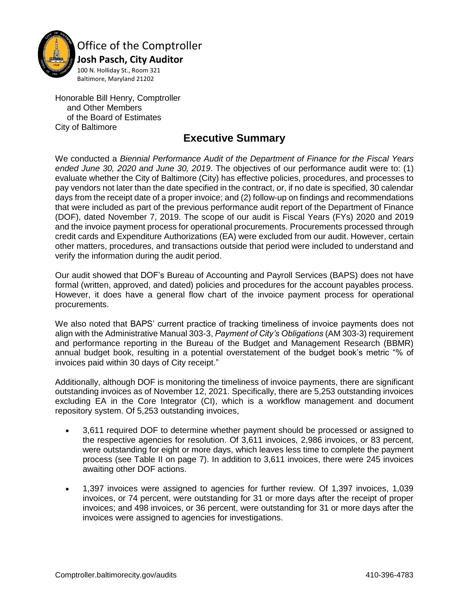

Office of the Comptroller

 **Josh Pasch, City Auditor** 100 N. Holliday St., Room 321 Baltimore, Maryland 21202

Honorable Bill Henry, Comptroller and Other Members of the Board of Estimates City of Baltimore

## **Executive Summary**

<span id="page-2-0"></span>We conducted a *Biennial Performance Audit of the Department of Finance for the Fiscal Years ended June 30, 2020 and June 30, 2019*. The objectives of our performance audit were to: (1) evaluate whether the City of Baltimore (City) has effective policies, procedures, and processes to pay vendors not later than the date specified in the contract, or, if no date is specified, 30 calendar days from the receipt date of a proper invoice; and (2) follow-up on findings and recommendations that were included as part of the previous performance audit report of the Department of Finance (DOF), dated November 7, 2019. The scope of our audit is Fiscal Years (FYs) 2020 and 2019 and the invoice payment process for operational procurements. Procurements processed through credit cards and Expenditure Authorizations (EA) were excluded from our audit. However, certain other matters, procedures, and transactions outside that period were included to understand and verify the information during the audit period.

Our audit showed that DOF's Bureau of Accounting and Payroll Services (BAPS) does not have formal (written, approved, and dated) policies and procedures for the account payables process. However, it does have a general flow chart of the invoice payment process for operational procurements.

We also noted that BAPS' current practice of tracking timeliness of invoice payments does not align with the Administrative Manual 303-3, *Payment of City's Obligations* (AM 303-3) requirement and performance reporting in the Bureau of the Budget and Management Research (BBMR) annual budget book, resulting in a potential overstatement of the budget book's metric "% of invoices paid within 30 days of City receipt."

Additionally, although DOF is monitoring the timeliness of invoice payments, there are significant outstanding invoices as of November 12, 2021. Specifically, there are 5,253 outstanding invoices excluding EA in the Core Integrator (CI), which is a workflow management and document repository system. Of 5,253 outstanding invoices,

- 3,611 required DOF to determine whether payment should be processed or assigned to the respective agencies for resolution. Of 3,611 invoices, 2,986 invoices, or 83 percent, were outstanding for eight or more days, which leaves less time to complete the payment process (see Table II on page 7). In addition to 3,611 invoices, there were 245 invoices awaiting other DOF actions.
- 1,397 invoices were assigned to agencies for further review. Of 1,397 invoices, 1,039 invoices, or 74 percent, were outstanding for 31 or more days after the receipt of proper invoices; and 498 invoices, or 36 percent, were outstanding for 31 or more days after the invoices were assigned to agencies for investigations.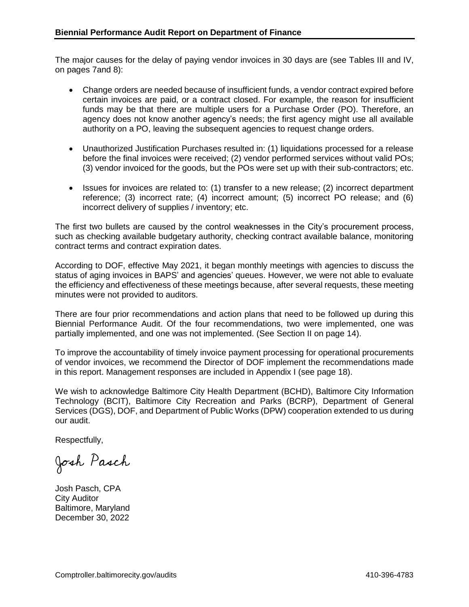The major causes for the delay of paying vendor invoices in 30 days are (see Tables III and IV, on pages 7and 8):

- Change orders are needed because of insufficient funds, a vendor contract expired before certain invoices are paid, or a contract closed. For example, the reason for insufficient funds may be that there are multiple users for a Purchase Order (PO). Therefore, an agency does not know another agency's needs; the first agency might use all available authority on a PO, leaving the subsequent agencies to request change orders.
- Unauthorized Justification Purchases resulted in: (1) liquidations processed for a release before the final invoices were received; (2) vendor performed services without valid POs; (3) vendor invoiced for the goods, but the POs were set up with their sub-contractors; etc.
- Issues for invoices are related to: (1) transfer to a new release; (2) incorrect department reference; (3) incorrect rate; (4) incorrect amount; (5) incorrect PO release; and (6) incorrect delivery of supplies / inventory; etc.

The first two bullets are caused by the control weaknesses in the City's procurement process, such as checking available budgetary authority, checking contract available balance, monitoring contract terms and contract expiration dates.

According to DOF, effective May 2021, it began monthly meetings with agencies to discuss the status of aging invoices in BAPS' and agencies' queues. However, we were not able to evaluate the efficiency and effectiveness of these meetings because, after several requests, these meeting minutes were not provided to auditors.

There are four prior recommendations and action plans that need to be followed up during this Biennial Performance Audit. Of the four recommendations, two were implemented, one was partially implemented, and one was not implemented. (See Section II on page 14).

To improve the accountability of timely invoice payment processing for operational procurements of vendor invoices, we recommend the Director of DOF implement the recommendations made in this report. Management responses are included in Appendix I (see page 18).

We wish to acknowledge Baltimore City Health Department (BCHD), Baltimore City Information Technology (BCIT), Baltimore City Recreation and Parks (BCRP), Department of General Services (DGS), DOF, and Department of Public Works (DPW) cooperation extended to us during our audit.

Respectfully,

Josh Pasch

Josh Pasch, CPA City Auditor Baltimore, Maryland December 30, 2022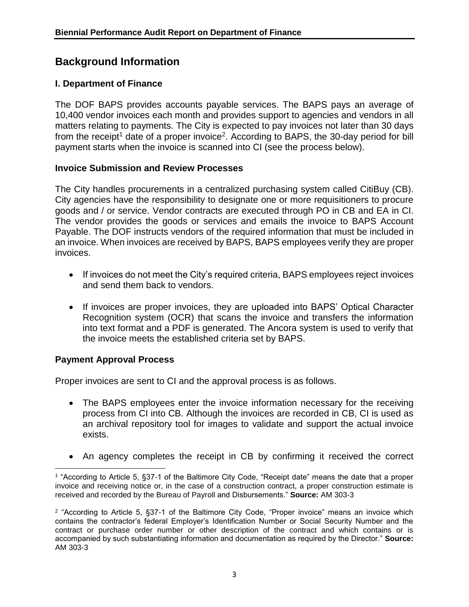## <span id="page-4-0"></span>**Background Information**

## **I. Department of Finance**

The DOF BAPS provides accounts payable services. The BAPS pays an average of 10,400 vendor invoices each month and provides support to agencies and vendors in all matters relating to payments. The City is expected to pay invoices not later than 30 days from the receipt<sup>1</sup> date of a proper invoice<sup>2</sup>. According to BAPS, the 30-day period for bill payment starts when the invoice is scanned into CI (see the process below).

## **Invoice Submission and Review Processes**

The City handles procurements in a centralized purchasing system called CitiBuy (CB). City agencies have the responsibility to designate one or more requisitioners to procure goods and / or service. Vendor contracts are executed through PO in CB and EA in CI. The vendor provides the goods or services and emails the invoice to BAPS Account Payable. The DOF instructs vendors of the required information that must be included in an invoice. When invoices are received by BAPS, BAPS employees verify they are proper invoices.

- If invoices do not meet the City's required criteria, BAPS employees reject invoices and send them back to vendors.
- If invoices are proper invoices, they are uploaded into BAPS' Optical Character Recognition system (OCR) that scans the invoice and transfers the information into text format and a PDF is generated. The Ancora system is used to verify that the invoice meets the established criteria set by BAPS.

## **Payment Approval Process**

Proper invoices are sent to CI and the approval process is as follows.

- The BAPS employees enter the invoice information necessary for the receiving process from CI into CB. Although the invoices are recorded in CB, CI is used as an archival repository tool for images to validate and support the actual invoice exists.
- An agency completes the receipt in CB by confirming it received the correct

 $\overline{\phantom{a}}$ 1 "According to Article 5, §37-1 of the Baltimore City Code, "Receipt date" means the date that a proper invoice and receiving notice or, in the case of a construction contract, a proper construction estimate is received and recorded by the Bureau of Payroll and Disbursements." **Source:** AM 303-3

<sup>2</sup> "According to Article 5, §37-1 of the Baltimore City Code, "Proper invoice" means an invoice which contains the contractor's federal Employer's Identification Number or Social Security Number and the contract or purchase order number or other description of the contract and which contains or is accompanied by such substantiating information and documentation as required by the Director." **Source:** AM 303-3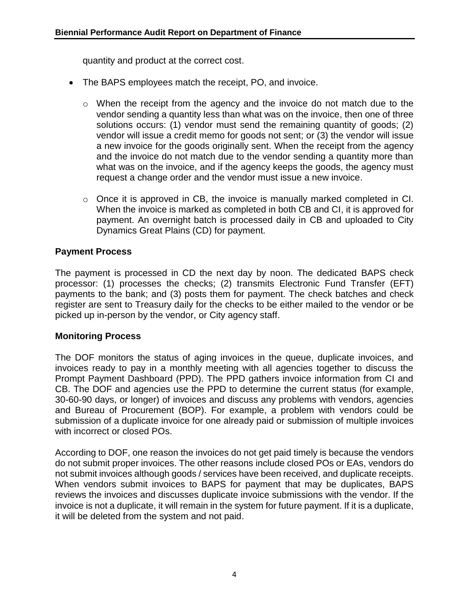quantity and product at the correct cost.

- The BAPS employees match the receipt, PO, and invoice.
	- $\circ$  When the receipt from the agency and the invoice do not match due to the vendor sending a quantity less than what was on the invoice, then one of three solutions occurs: (1) vendor must send the remaining quantity of goods; (2) vendor will issue a credit memo for goods not sent; or (3) the vendor will issue a new invoice for the goods originally sent. When the receipt from the agency and the invoice do not match due to the vendor sending a quantity more than what was on the invoice, and if the agency keeps the goods, the agency must request a change order and the vendor must issue a new invoice.
	- o Once it is approved in CB, the invoice is manually marked completed in CI. When the invoice is marked as completed in both CB and CI, it is approved for payment. An overnight batch is processed daily in CB and uploaded to City Dynamics Great Plains (CD) for payment.

## **Payment Process**

The payment is processed in CD the next day by noon. The dedicated BAPS check processor: (1) processes the checks; (2) transmits Electronic Fund Transfer (EFT) payments to the bank; and (3) posts them for payment. The check batches and check register are sent to Treasury daily for the checks to be either mailed to the vendor or be picked up in-person by the vendor, or City agency staff.

### **Monitoring Process**

The DOF monitors the status of aging invoices in the queue, duplicate invoices, and invoices ready to pay in a monthly meeting with all agencies together to discuss the Prompt Payment Dashboard (PPD). The PPD gathers invoice information from CI and CB. The DOF and agencies use the PPD to determine the current status (for example, 30-60-90 days, or longer) of invoices and discuss any problems with vendors, agencies and Bureau of Procurement (BOP). For example, a problem with vendors could be submission of a duplicate invoice for one already paid or submission of multiple invoices with incorrect or closed POs.

According to DOF, one reason the invoices do not get paid timely is because the vendors do not submit proper invoices. The other reasons include closed POs or EAs, vendors do not submit invoices although goods / services have been received, and duplicate receipts. When vendors submit invoices to BAPS for payment that may be duplicates, BAPS reviews the invoices and discusses duplicate invoice submissions with the vendor. If the invoice is not a duplicate, it will remain in the system for future payment. If it is a duplicate, it will be deleted from the system and not paid.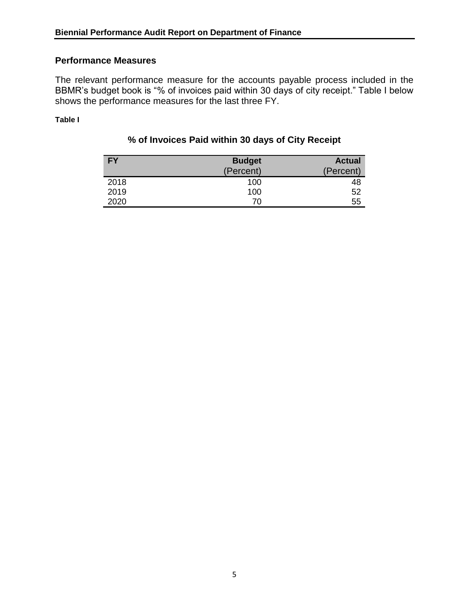### **Performance Measures**

The relevant performance measure for the accounts payable process included in the BBMR's budget book is "% of invoices paid within 30 days of city receipt." Table I below shows the performance measures for the last three FY.

**Table I**

## **% of Invoices Paid within 30 days of City Receipt**

| <b>FY</b> | <b>Budget</b> | <b>Actual</b> |
|-----------|---------------|---------------|
|           | (Percent)     | (Percent)     |
| 2018      | 100           | 48            |
| 2019      | 100           | 52            |
| 2020      | 70            | 55            |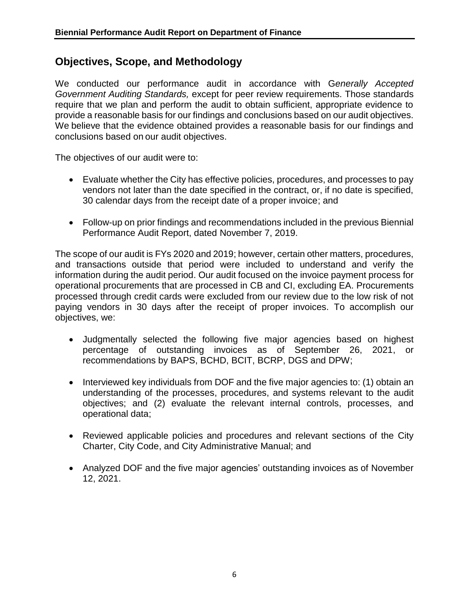## <span id="page-7-0"></span>**Objectives, Scope, and Methodology**

We conducted our performance audit in accordance with G*enerally Accepted Government Auditing Standards,* except for peer review requirements. Those standards require that we plan and perform the audit to obtain sufficient, appropriate evidence to provide a reasonable basis for our findings and conclusions based on our audit objectives. We believe that the evidence obtained provides a reasonable basis for our findings and conclusions based on our audit objectives.

The objectives of our audit were to:

- Evaluate whether the City has effective policies, procedures, and processes to pay vendors not later than the date specified in the contract, or, if no date is specified, 30 calendar days from the receipt date of a proper invoice; and
- Follow-up on prior findings and recommendations included in the previous Biennial Performance Audit Report, dated November 7, 2019.

The scope of our audit is FYs 2020 and 2019; however, certain other matters, procedures, and transactions outside that period were included to understand and verify the information during the audit period. Our audit focused on the invoice payment process for operational procurements that are processed in CB and CI, excluding EA. Procurements processed through credit cards were excluded from our review due to the low risk of not paying vendors in 30 days after the receipt of proper invoices. To accomplish our objectives, we:

- Judgmentally selected the following five major agencies based on highest percentage of outstanding invoices as of September 26, 2021, or recommendations by BAPS, BCHD, BCIT, BCRP, DGS and DPW;
- Interviewed key individuals from DOF and the five major agencies to: (1) obtain an understanding of the processes, procedures, and systems relevant to the audit objectives; and (2) evaluate the relevant internal controls, processes, and operational data;
- Reviewed applicable policies and procedures and relevant sections of the City Charter, City Code, and City Administrative Manual; and
- Analyzed DOF and the five major agencies' outstanding invoices as of November 12, 2021.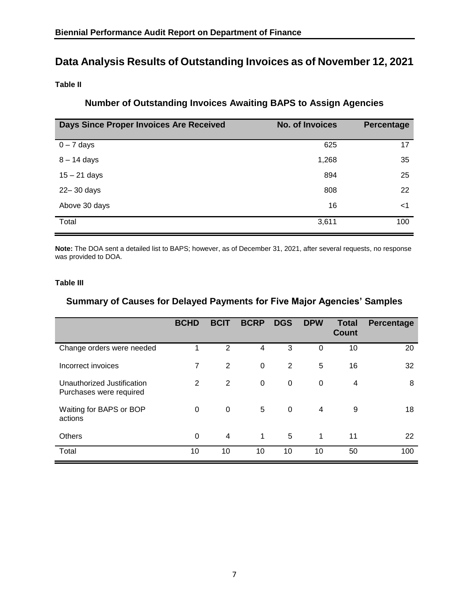## **Data Analysis Results of Outstanding Invoices as of November 12, 2021**

**Table II**

## **Number of Outstanding Invoices Awaiting BAPS to Assign Agencies**

| Days Since Proper Invoices Are Received | <b>No. of Invoices</b> | Percentage |
|-----------------------------------------|------------------------|------------|
| $0 - 7$ days                            | 625                    | 17         |
| $8 - 14$ days                           | 1,268                  | 35         |
| $15 - 21$ days                          | 894                    | 25         |
| 22-30 days                              | 808                    | 22         |
| Above 30 days                           | 16                     | <1         |
| Total                                   | 3,611                  | 100        |

**Note:** The DOA sent a detailed list to BAPS; however, as of December 31, 2021, after several requests, no response was provided to DOA.

#### **Table III**

## **Summary of Causes for Delayed Payments for Five Major Agencies' Samples**

|                                                       | <b>BCHD</b> | <b>BCIT</b>    | <b>BCRP</b>  | <b>DGS</b>     | <b>DPW</b>   | <b>Total</b><br><b>Count</b> | <b>Percentage</b> |
|-------------------------------------------------------|-------------|----------------|--------------|----------------|--------------|------------------------------|-------------------|
| Change orders were needed                             |             | $\overline{2}$ | 4            | 3              | $\Omega$     | 10                           | 20                |
| Incorrect invoices                                    | 7           | 2              | 0            | $\overline{2}$ | 5            | 16                           | 32                |
| Unauthorized Justification<br>Purchases were required | 2           | 2              | $\Omega$     | $\pmb{0}$      | $\mathbf{0}$ | 4                            | 8                 |
| Waiting for BAPS or BOP<br>actions                    | $\Omega$    | 0              | 5            | 0              | 4            | 9                            | 18                |
| <b>Others</b>                                         | $\Omega$    | 4              | $\mathbf{1}$ | 5              | 1            | 11                           | 22                |
| Total                                                 | 10          | 10             | 10           | 10             | 10           | 50                           | 100               |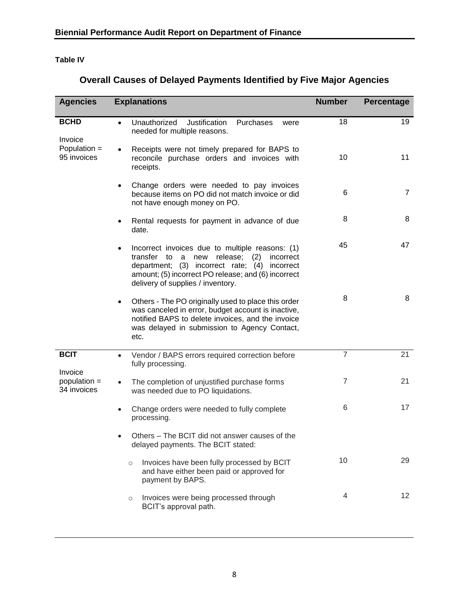## **Table IV**

| <b>Overall Causes of Delayed Payments Identified by Five Major Agencies</b> |
|-----------------------------------------------------------------------------|
|-----------------------------------------------------------------------------|

| <b>Agencies</b>             | <b>Explanations</b>                                                                                                                                                                                                                                            | <b>Number</b>  | Percentage     |
|-----------------------------|----------------------------------------------------------------------------------------------------------------------------------------------------------------------------------------------------------------------------------------------------------------|----------------|----------------|
| <b>BCHD</b><br>Invoice      | Unauthorized<br>Justification<br>Purchases<br>$\bullet$<br>were<br>needed for multiple reasons.                                                                                                                                                                | 18             | 19             |
| Population =<br>95 invoices | Receipts were not timely prepared for BAPS to<br>reconcile purchase orders and invoices with<br>receipts.                                                                                                                                                      | 10             | 11             |
|                             | Change orders were needed to pay invoices<br>$\bullet$<br>because items on PO did not match invoice or did<br>not have enough money on PO.                                                                                                                     | 6              | $\overline{7}$ |
|                             | Rental requests for payment in advance of due<br>٠<br>date.                                                                                                                                                                                                    | 8              | 8              |
|                             | Incorrect invoices due to multiple reasons: (1)<br>$\bullet$<br>transfer to<br>new release; (2)<br>a<br>incorrect<br>department; (3) incorrect rate; (4) incorrect<br>amount; (5) incorrect PO release; and (6) incorrect<br>delivery of supplies / inventory. | 45             | 47             |
|                             | Others - The PO originally used to place this order<br>$\bullet$<br>was canceled in error, budget account is inactive,<br>notified BAPS to delete invoices, and the invoice<br>was delayed in submission to Agency Contact,<br>etc.                            | 8              | 8              |
| <b>BCIT</b><br>Invoice      | Vendor / BAPS errors required correction before<br>$\bullet$<br>fully processing.                                                                                                                                                                              | $\overline{7}$ | 21             |
| population =<br>34 invoices | The completion of unjustified purchase forms<br>was needed due to PO liquidations.                                                                                                                                                                             | 7              | 21             |
|                             | Change orders were needed to fully complete<br>$\bullet$<br>processing.                                                                                                                                                                                        | 6              | 17             |
|                             | Others – The BCIT did not answer causes of the<br>delayed payments. The BCIT stated:                                                                                                                                                                           |                |                |
|                             | Invoices have been fully processed by BCIT<br>$\circ$<br>and have either been paid or approved for<br>payment by BAPS.                                                                                                                                         | 10             | 29             |
|                             | Invoices were being processed through<br>$\circ$<br>BCIT's approval path.                                                                                                                                                                                      | 4              | 12             |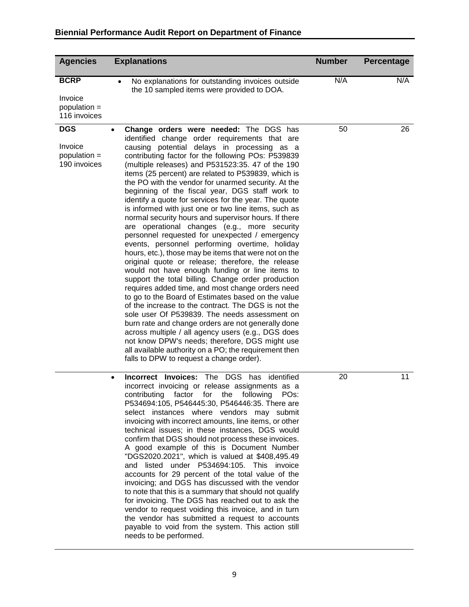| <b>Agencies</b>                                          | <b>Explanations</b>                                                                                                                                                                                                                                                                                                                                                                                                                                                                                                                                                                                                                                                                                                                                                                                                                                                                                                                                                                                                                                                                                                                                                                                                                                                                                                                                                                                                                                                     | <b>Number</b> | <b>Percentage</b> |
|----------------------------------------------------------|-------------------------------------------------------------------------------------------------------------------------------------------------------------------------------------------------------------------------------------------------------------------------------------------------------------------------------------------------------------------------------------------------------------------------------------------------------------------------------------------------------------------------------------------------------------------------------------------------------------------------------------------------------------------------------------------------------------------------------------------------------------------------------------------------------------------------------------------------------------------------------------------------------------------------------------------------------------------------------------------------------------------------------------------------------------------------------------------------------------------------------------------------------------------------------------------------------------------------------------------------------------------------------------------------------------------------------------------------------------------------------------------------------------------------------------------------------------------------|---------------|-------------------|
| <b>BCRP</b><br>Invoice<br>population $=$<br>116 invoices | No explanations for outstanding invoices outside<br>the 10 sampled items were provided to DOA.                                                                                                                                                                                                                                                                                                                                                                                                                                                                                                                                                                                                                                                                                                                                                                                                                                                                                                                                                                                                                                                                                                                                                                                                                                                                                                                                                                          | N/A           | N/A               |
| <b>DGS</b><br>Invoice<br>population =<br>190 invoices    | Change orders were needed: The DGS has<br>$\bullet$<br>identified change order requirements that are<br>causing potential delays in processing as a<br>contributing factor for the following POs: P539839<br>(multiple releases) and P531523:35. 47 of the 190<br>items (25 percent) are related to P539839, which is<br>the PO with the vendor for unarmed security. At the<br>beginning of the fiscal year, DGS staff work to<br>identify a quote for services for the year. The quote<br>is informed with just one or two line items, such as<br>normal security hours and supervisor hours. If there<br>are operational changes (e.g., more security<br>personnel requested for unexpected / emergency<br>events, personnel performing overtime, holiday<br>hours, etc.), those may be items that were not on the<br>original quote or release; therefore, the release<br>would not have enough funding or line items to<br>support the total billing. Change order production<br>requires added time, and most change orders need<br>to go to the Board of Estimates based on the value<br>of the increase to the contract. The DGS is not the<br>sole user Of P539839. The needs assessment on<br>burn rate and change orders are not generally done<br>across multiple / all agency users (e.g., DGS does<br>not know DPW's needs; therefore, DGS might use<br>all available authority on a PO; the requirement then<br>falls to DPW to request a change order). | 50            | 26                |
|                                                          | The DGS<br>Incorrect Invoices:<br>has identified<br>$\bullet$<br>incorrect invoicing or release assignments as a<br>contributing<br>factor<br>for<br>following<br>PO <sub>s</sub> :<br>the<br>P534694:105, P546445:30, P546446:35. There are<br>select instances where vendors may submit<br>invoicing with incorrect amounts, line items, or other<br>technical issues; in these instances, DGS would<br>confirm that DGS should not process these invoices.<br>A good example of this is Document Number<br>"DGS2020.2021", which is valued at \$408,495.49<br>and listed under P534694:105. This invoice<br>accounts for 29 percent of the total value of the<br>invoicing; and DGS has discussed with the vendor<br>to note that this is a summary that should not qualify<br>for invoicing. The DGS has reached out to ask the<br>vendor to request voiding this invoice, and in turn<br>the vendor has submitted a request to accounts<br>payable to void from the system. This action still<br>needs to be performed.                                                                                                                                                                                                                                                                                                                                                                                                                                            | 20            | 11                |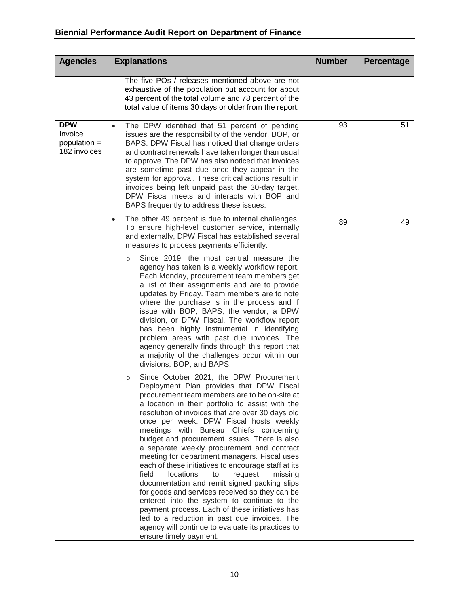## **Biennial Performance Audit Report on Department of Finance**

<span id="page-11-0"></span>

| <b>Agencies</b>                                       |           | <b>Explanations</b>                                                                                                                                                                                                                                                                                                                                                                                                                                                                                                                                                                                                                                                                                                                                                                                                                                                                                                                 | <b>Number</b> | <b>Percentage</b> |
|-------------------------------------------------------|-----------|-------------------------------------------------------------------------------------------------------------------------------------------------------------------------------------------------------------------------------------------------------------------------------------------------------------------------------------------------------------------------------------------------------------------------------------------------------------------------------------------------------------------------------------------------------------------------------------------------------------------------------------------------------------------------------------------------------------------------------------------------------------------------------------------------------------------------------------------------------------------------------------------------------------------------------------|---------------|-------------------|
|                                                       |           | The five POs / releases mentioned above are not<br>exhaustive of the population but account for about<br>43 percent of the total volume and 78 percent of the<br>total value of items 30 days or older from the report.                                                                                                                                                                                                                                                                                                                                                                                                                                                                                                                                                                                                                                                                                                             |               |                   |
| <b>DPW</b><br>Invoice<br>population =<br>182 invoices | $\bullet$ | The DPW identified that 51 percent of pending<br>issues are the responsibility of the vendor, BOP, or<br>BAPS. DPW Fiscal has noticed that change orders<br>and contract renewals have taken longer than usual<br>to approve. The DPW has also noticed that invoices<br>are sometime past due once they appear in the<br>system for approval. These critical actions result in<br>invoices being left unpaid past the 30-day target.<br>DPW Fiscal meets and interacts with BOP and<br>BAPS frequently to address these issues.                                                                                                                                                                                                                                                                                                                                                                                                     | 93            | 51                |
|                                                       | $\bullet$ | The other 49 percent is due to internal challenges.<br>To ensure high-level customer service, internally<br>and externally, DPW Fiscal has established several<br>measures to process payments efficiently.                                                                                                                                                                                                                                                                                                                                                                                                                                                                                                                                                                                                                                                                                                                         | 89            | 49                |
|                                                       |           | Since 2019, the most central measure the<br>$\circ$<br>agency has taken is a weekly workflow report.<br>Each Monday, procurement team members get<br>a list of their assignments and are to provide<br>updates by Friday. Team members are to note<br>where the purchase is in the process and if<br>issue with BOP, BAPS, the vendor, a DPW<br>division, or DPW Fiscal. The workflow report<br>has been highly instrumental in identifying<br>problem areas with past due invoices. The<br>agency generally finds through this report that<br>a majority of the challenges occur within our<br>divisions, BOP, and BAPS.                                                                                                                                                                                                                                                                                                           |               |                   |
|                                                       |           | Since October 2021, the DPW Procurement<br>$\circ$<br>Deployment Plan provides that DPW Fiscal<br>procurement team members are to be on-site at<br>a location in their portfolio to assist with the<br>resolution of invoices that are over 30 days old<br>once per week. DPW Fiscal hosts weekly<br>meetings with Bureau Chiefs concerning<br>budget and procurement issues. There is also<br>a separate weekly procurement and contract<br>meeting for department managers. Fiscal uses<br>each of these initiatives to encourage staff at its<br>field<br>locations<br>request<br>to<br>missing<br>documentation and remit signed packing slips<br>for goods and services received so they can be<br>entered into the system to continue to the<br>payment process. Each of these initiatives has<br>led to a reduction in past due invoices. The<br>agency will continue to evaluate its practices to<br>ensure timely payment. |               |                   |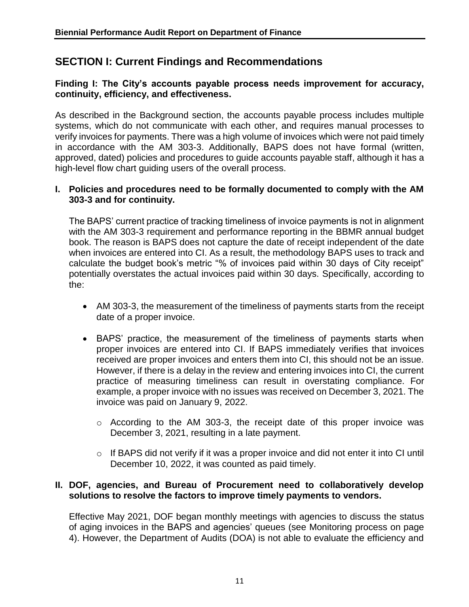## **SECTION I: Current Findings and Recommendations**

## **Finding I: The City's accounts payable process needs improvement for accuracy, continuity, efficiency, and effectiveness.**

As described in the Background section, the accounts payable process includes multiple systems, which do not communicate with each other, and requires manual processes to verify invoices for payments. There was a high volume of invoices which were not paid timely in accordance with the AM 303-3. Additionally, BAPS does not have formal (written, approved, dated) policies and procedures to guide accounts payable staff, although it has a high-level flow chart guiding users of the overall process.

## **I. Policies and procedures need to be formally documented to comply with the AM 303-3 and for continuity.**

The BAPS' current practice of tracking timeliness of invoice payments is not in alignment with the AM 303-3 requirement and performance reporting in the BBMR annual budget book. The reason is BAPS does not capture the date of receipt independent of the date when invoices are entered into CI. As a result, the methodology BAPS uses to track and calculate the budget book's metric "% of invoices paid within 30 days of City receipt" potentially overstates the actual invoices paid within 30 days. Specifically, according to the:

- AM 303-3, the measurement of the timeliness of payments starts from the receipt date of a proper invoice.
- BAPS' practice, the measurement of the timeliness of payments starts when proper invoices are entered into CI. If BAPS immediately verifies that invoices received are proper invoices and enters them into CI, this should not be an issue. However, if there is a delay in the review and entering invoices into CI, the current practice of measuring timeliness can result in overstating compliance. For example, a proper invoice with no issues was received on December 3, 2021. The invoice was paid on January 9, 2022.
	- o According to the AM 303-3, the receipt date of this proper invoice was December 3, 2021, resulting in a late payment.
	- o If BAPS did not verify if it was a proper invoice and did not enter it into CI until December 10, 2022, it was counted as paid timely.

## **II. DOF, agencies, and Bureau of Procurement need to collaboratively develop solutions to resolve the factors to improve timely payments to vendors.**

Effective May 2021, DOF began monthly meetings with agencies to discuss the status of aging invoices in the BAPS and agencies' queues (see Monitoring process on page 4). However, the Department of Audits (DOA) is not able to evaluate the efficiency and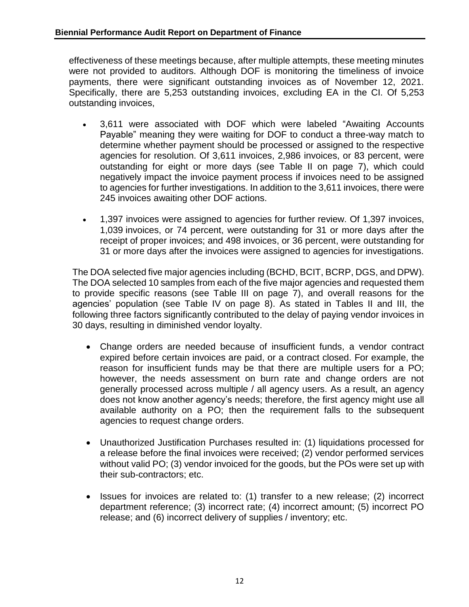effectiveness of these meetings because, after multiple attempts, these meeting minutes were not provided to auditors. Although DOF is monitoring the timeliness of invoice payments, there were significant outstanding invoices as of November 12, 2021. Specifically, there are 5,253 outstanding invoices, excluding EA in the CI. Of 5,253 outstanding invoices,

- 3,611 were associated with DOF which were labeled "Awaiting Accounts Payable" meaning they were waiting for DOF to conduct a three-way match to determine whether payment should be processed or assigned to the respective agencies for resolution. Of 3,611 invoices, 2,986 invoices, or 83 percent, were outstanding for eight or more days (see Table II on page 7), which could negatively impact the invoice payment process if invoices need to be assigned to agencies for further investigations. In addition to the 3,611 invoices, there were 245 invoices awaiting other DOF actions.
- 1,397 invoices were assigned to agencies for further review. Of 1,397 invoices, 1,039 invoices, or 74 percent, were outstanding for 31 or more days after the receipt of proper invoices; and 498 invoices, or 36 percent, were outstanding for 31 or more days after the invoices were assigned to agencies for investigations.

The DOA selected five major agencies including (BCHD, BCIT, BCRP, DGS, and DPW). The DOA selected 10 samples from each of the five major agencies and requested them to provide specific reasons (see Table III on page 7), and overall reasons for the agencies' population (see Table IV on page 8). As stated in Tables II and III, the following three factors significantly contributed to the delay of paying vendor invoices in 30 days, resulting in diminished vendor loyalty.

- Change orders are needed because of insufficient funds, a vendor contract expired before certain invoices are paid, or a contract closed. For example, the reason for insufficient funds may be that there are multiple users for a PO; however, the needs assessment on burn rate and change orders are not generally processed across multiple / all agency users. As a result, an agency does not know another agency's needs; therefore, the first agency might use all available authority on a PO; then the requirement falls to the subsequent agencies to request change orders.
- Unauthorized Justification Purchases resulted in: (1) liquidations processed for a release before the final invoices were received; (2) vendor performed services without valid PO; (3) vendor invoiced for the goods, but the POs were set up with their sub-contractors; etc.
- Issues for invoices are related to: (1) transfer to a new release; (2) incorrect department reference; (3) incorrect rate; (4) incorrect amount; (5) incorrect PO release; and (6) incorrect delivery of supplies / inventory; etc.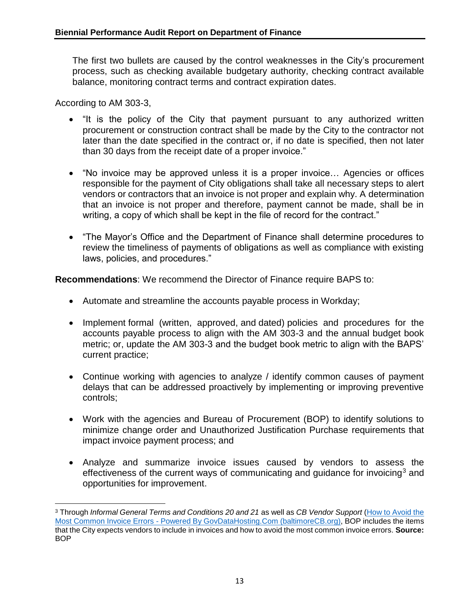The first two bullets are caused by the control weaknesses in the City's procurement process, such as checking available budgetary authority, checking contract available balance, monitoring contract terms and contract expiration dates.

According to AM 303-3,

l

- "It is the policy of the City that payment pursuant to any authorized written procurement or construction contract shall be made by the City to the contractor not later than the date specified in the contract or, if no date is specified, then not later than 30 days from the receipt date of a proper invoice."
- "No invoice may be approved unless it is a proper invoice… Agencies or offices responsible for the payment of City obligations shall take all necessary steps to alert vendors or contractors that an invoice is not proper and explain why. A determination that an invoice is not proper and therefore, payment cannot be made, shall be in writing, a copy of which shall be kept in the file of record for the contract."
- "The Mayor's Office and the Department of Finance shall determine procedures to review the timeliness of payments of obligations as well as compliance with existing laws, policies, and procedures."

**Recommendations**: We recommend the Director of Finance require BAPS to:

- Automate and streamline the accounts payable process in Workday;
- Implement formal (written, approved, and dated) policies and procedures for the accounts payable process to align with the AM 303-3 and the annual budget book metric; or, update the AM 303-3 and the budget book metric to align with the BAPS' current practice;
- Continue working with agencies to analyze / identify common causes of payment delays that can be addressed proactively by implementing or improving preventive controls;
- Work with the agencies and Bureau of Procurement (BOP) to identify solutions to minimize change order and Unauthorized Justification Purchase requirements that impact invoice payment process; and
- <span id="page-14-0"></span>• Analyze and summarize invoice issues caused by vendors to assess the effectiveness of the current ways of communicating and quidance for invoicing<sup>3</sup> and opportunities for improvement.

<sup>3</sup> Through *Informal General Terms and Conditions 20 and 21* as well as *CB Vendor Support* [\(How to Avoid the](http://support.baltimorecitibuy.org/index.php?_m=knowledgebase&_a=viewarticle&kbarticleid=51)  Most Common Invoice Errors - [Powered By GovDataHosting.Com \(baltimoreCB.org\),](http://support.baltimorecitibuy.org/index.php?_m=knowledgebase&_a=viewarticle&kbarticleid=51) BOP includes the items that the City expects vendors to include in invoices and how to avoid the most common invoice errors. **Source:** BOP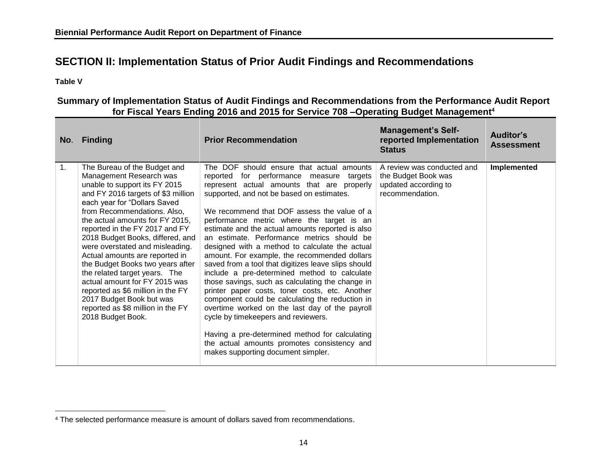## **SECTION II: Implementation Status of Prior Audit Findings and Recommendations**

**Table V**

l

|    | No. Finding                                                                                                                                                                                                                                                                                                                                                                                                                                                                                                                                                                                                  | <b>Prior Recommendation</b>                                                                                                                                                                                                                                                                                                                                                                                                                                                                                                                                                                                                                                                                                                                                                                                                                                                                                                                                                         | <b>Management's Self-</b><br>reported Implementation<br><b>Status</b>                        | Auditor's<br><b>Assessment</b> |  |
|----|--------------------------------------------------------------------------------------------------------------------------------------------------------------------------------------------------------------------------------------------------------------------------------------------------------------------------------------------------------------------------------------------------------------------------------------------------------------------------------------------------------------------------------------------------------------------------------------------------------------|-------------------------------------------------------------------------------------------------------------------------------------------------------------------------------------------------------------------------------------------------------------------------------------------------------------------------------------------------------------------------------------------------------------------------------------------------------------------------------------------------------------------------------------------------------------------------------------------------------------------------------------------------------------------------------------------------------------------------------------------------------------------------------------------------------------------------------------------------------------------------------------------------------------------------------------------------------------------------------------|----------------------------------------------------------------------------------------------|--------------------------------|--|
| 1. | The Bureau of the Budget and<br>Management Research was<br>unable to support its FY 2015<br>and FY 2016 targets of \$3 million<br>each year for "Dollars Saved<br>from Recommendations. Also,<br>the actual amounts for FY 2015,<br>reported in the FY 2017 and FY<br>2018 Budget Books, differed, and<br>were overstated and misleading.<br>Actual amounts are reported in<br>the Budget Books two years after<br>the related target years. The<br>actual amount for FY 2015 was<br>reported as \$6 million in the FY<br>2017 Budget Book but was<br>reported as \$8 million in the FY<br>2018 Budget Book. | The DOF should ensure that actual amounts<br>reported for performance measure<br>targets<br>represent actual amounts that are properly<br>supported, and not be based on estimates.<br>We recommend that DOF assess the value of a<br>performance metric where the target is an<br>estimate and the actual amounts reported is also<br>an estimate. Performance metrics should be<br>designed with a method to calculate the actual<br>amount. For example, the recommended dollars<br>saved from a tool that digitizes leave slips should<br>include a pre-determined method to calculate<br>those savings, such as calculating the change in<br>printer paper costs, toner costs, etc. Another<br>component could be calculating the reduction in<br>overtime worked on the last day of the payroll<br>cycle by timekeepers and reviewers.<br>Having a pre-determined method for calculating<br>the actual amounts promotes consistency and<br>makes supporting document simpler. | A review was conducted and<br>the Budget Book was<br>updated according to<br>recommendation. | Implemented                    |  |

#### **Summary of Implementation Status of Audit Findings and Recommendations from the Performance Audit Report for Fiscal Years Ending 2016 and 2015 for Service 708 –Operating Budget Management<sup>4</sup>**

<sup>&</sup>lt;sup>4</sup> The selected performance measure is amount of dollars saved from recommendations.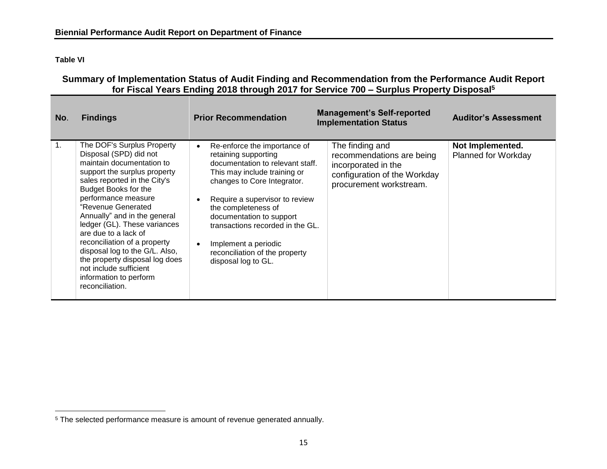**Table VI**

l

## **Summary of Implementation Status of Audit Finding and Recommendation from the Performance Audit Report for Fiscal Years Ending 2018 through 2017 for Service 700 – Surplus Property Disposal 5**

| No. | <b>Findings</b>                                                                                                                                                                                                                                                                                                                                                                                                                                                                           | <b>Prior Recommendation</b>                                                                                                                                                                                                                                                                                                                                       | <b>Management's Self-reported</b><br><b>Implementation Status</b>                                                              | <b>Auditor's Assessment</b>                    |
|-----|-------------------------------------------------------------------------------------------------------------------------------------------------------------------------------------------------------------------------------------------------------------------------------------------------------------------------------------------------------------------------------------------------------------------------------------------------------------------------------------------|-------------------------------------------------------------------------------------------------------------------------------------------------------------------------------------------------------------------------------------------------------------------------------------------------------------------------------------------------------------------|--------------------------------------------------------------------------------------------------------------------------------|------------------------------------------------|
| 1.  | The DOF's Surplus Property<br>Disposal (SPD) did not<br>maintain documentation to<br>support the surplus property<br>sales reported in the City's<br>Budget Books for the<br>performance measure<br>"Revenue Generated<br>Annually" and in the general<br>ledger (GL). These variances<br>are due to a lack of<br>reconciliation of a property<br>disposal log to the G/L. Also,<br>the property disposal log does<br>not include sufficient<br>information to perform<br>reconciliation. | Re-enforce the importance of<br>retaining supporting<br>documentation to relevant staff.<br>This may include training or<br>changes to Core Integrator.<br>Require a supervisor to review<br>the completeness of<br>documentation to support<br>transactions recorded in the GL.<br>Implement a periodic<br>reconciliation of the property<br>disposal log to GL. | The finding and<br>recommendations are being<br>incorporated in the<br>configuration of the Workday<br>procurement workstream. | Not Implemented.<br><b>Planned for Workday</b> |

<sup>&</sup>lt;sup>5</sup> The selected performance measure is amount of revenue generated annually.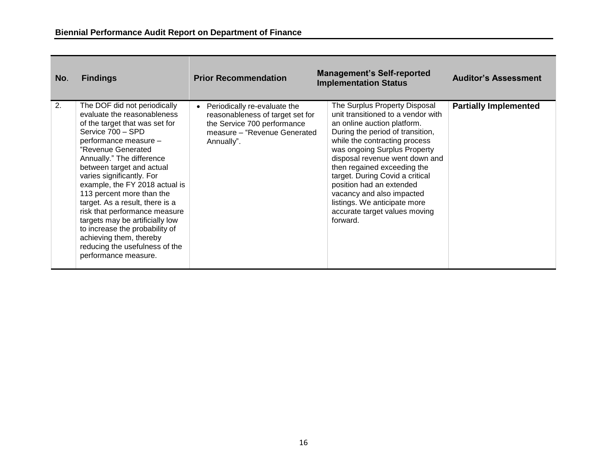| No. | <b>Findings</b>                                                                                                                                                                                                                                                                                                                                                                                                                                                                                                                                       | <b>Prior Recommendation</b>                                                                                                                    | <b>Management's Self-reported</b><br><b>Implementation Status</b>                                                                                                                                                                                                                                                                                                                                                                                 | <b>Auditor's Assessment</b>  |
|-----|-------------------------------------------------------------------------------------------------------------------------------------------------------------------------------------------------------------------------------------------------------------------------------------------------------------------------------------------------------------------------------------------------------------------------------------------------------------------------------------------------------------------------------------------------------|------------------------------------------------------------------------------------------------------------------------------------------------|---------------------------------------------------------------------------------------------------------------------------------------------------------------------------------------------------------------------------------------------------------------------------------------------------------------------------------------------------------------------------------------------------------------------------------------------------|------------------------------|
| 2.  | The DOF did not periodically<br>evaluate the reasonableness<br>of the target that was set for<br>Service 700 - SPD<br>performance measure -<br>"Revenue Generated<br>Annually." The difference<br>between target and actual<br>varies significantly. For<br>example, the FY 2018 actual is<br>113 percent more than the<br>target. As a result, there is a<br>risk that performance measure<br>targets may be artificially low<br>to increase the probability of<br>achieving them, thereby<br>reducing the usefulness of the<br>performance measure. | Periodically re-evaluate the<br>reasonableness of target set for<br>the Service 700 performance<br>measure - "Revenue Generated"<br>Annually". | The Surplus Property Disposal<br>unit transitioned to a vendor with<br>an online auction platform.<br>During the period of transition,<br>while the contracting process<br>was ongoing Surplus Property<br>disposal revenue went down and<br>then regained exceeding the<br>target. During Covid a critical<br>position had an extended<br>vacancy and also impacted<br>listings. We anticipate more<br>accurate target values moving<br>forward. | <b>Partially Implemented</b> |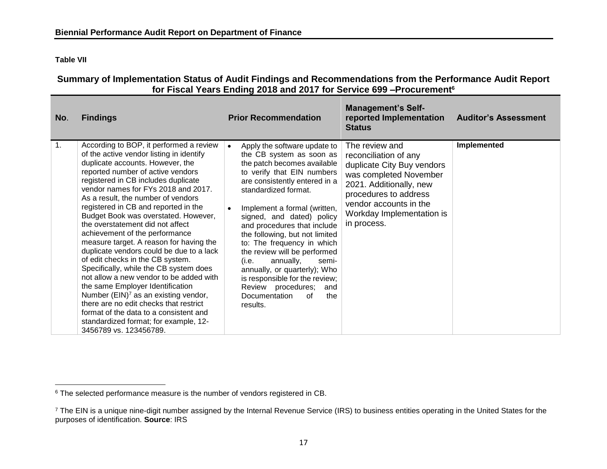**Table VII**

 $\overline{\phantom{a}}$ 

#### **Summary of Implementation Status of Audit Findings and Recommendations from the Performance Audit Report for Fiscal Years Ending 2018 and 2017 for Service 699 –Procurement<sup>6</sup>**

| No. | <b>Findings</b>                                                                                                                                                                                                                                                                                                                                                                                                                                                                                                                                                                                                                                                                                                                                                                                                                                                                                       | <b>Prior Recommendation</b>                                                                                                                                                                                                                                                                                                                                                                                                                                                                                                                                     | <b>Management's Self-</b><br>reported Implementation<br><b>Status</b>                                                                                                                                                     | <b>Auditor's Assessment</b> |
|-----|-------------------------------------------------------------------------------------------------------------------------------------------------------------------------------------------------------------------------------------------------------------------------------------------------------------------------------------------------------------------------------------------------------------------------------------------------------------------------------------------------------------------------------------------------------------------------------------------------------------------------------------------------------------------------------------------------------------------------------------------------------------------------------------------------------------------------------------------------------------------------------------------------------|-----------------------------------------------------------------------------------------------------------------------------------------------------------------------------------------------------------------------------------------------------------------------------------------------------------------------------------------------------------------------------------------------------------------------------------------------------------------------------------------------------------------------------------------------------------------|---------------------------------------------------------------------------------------------------------------------------------------------------------------------------------------------------------------------------|-----------------------------|
| 1.  | According to BOP, it performed a review<br>of the active vendor listing in identify<br>duplicate accounts. However, the<br>reported number of active vendors<br>registered in CB includes duplicate<br>vendor names for FYs 2018 and 2017.<br>As a result, the number of vendors<br>registered in CB and reported in the<br>Budget Book was overstated. However,<br>the overstatement did not affect<br>achievement of the performance<br>measure target. A reason for having the<br>duplicate vendors could be due to a lack<br>of edit checks in the CB system.<br>Specifically, while the CB system does<br>not allow a new vendor to be added with<br>the same Employer Identification<br>Number (EIN) <sup>7</sup> as an existing vendor,<br>there are no edit checks that restrict<br>format of the data to a consistent and<br>standardized format; for example, 12-<br>3456789 vs. 123456789. | Apply the software update to<br>$\bullet$<br>the CB system as soon as<br>the patch becomes available<br>to verify that EIN numbers<br>are consistently entered in a<br>standardized format.<br>Implement a formal (written,<br>signed, and dated) policy<br>and procedures that include<br>the following, but not limited<br>to: The frequency in which<br>the review will be performed<br>annually,<br>(i.e.<br>semi-<br>annually, or quarterly); Who<br>is responsible for the review;<br>Review procedures;<br>and<br>Documentation<br>the<br>of<br>results. | The review and<br>reconciliation of any<br>duplicate City Buy vendors<br>was completed November<br>2021. Additionally, new<br>procedures to address<br>vendor accounts in the<br>Workday Implementation is<br>in process. | Implemented                 |

<sup>&</sup>lt;sup>6</sup> The selected performance measure is the number of vendors registered in CB.

<sup>&</sup>lt;sup>7</sup> The EIN is a unique nine-digit number assigned by the Internal Revenue Service (IRS) to business entities operating in the United States for the purposes of identification. **Source**: IRS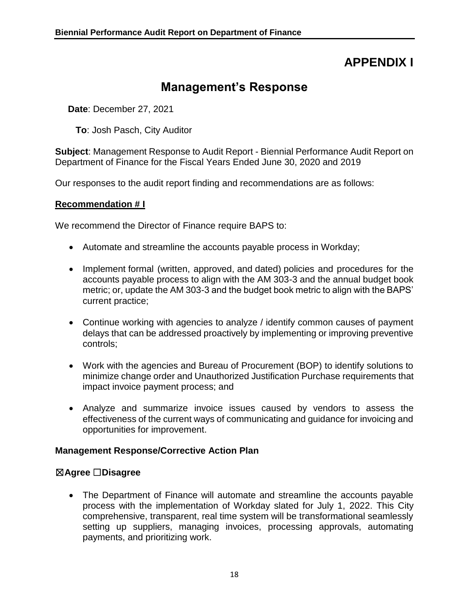# **APPENDIX I**

# **Management's Response**

<span id="page-19-0"></span>**Date**: December 27, 2021

**To**: Josh Pasch, City Auditor

**Subject**: Management Response to Audit Report - Biennial Performance Audit Report on Department of Finance for the Fiscal Years Ended June 30, 2020 and 2019

Our responses to the audit report finding and recommendations are as follows:

### **Recommendation # I**

We recommend the Director of Finance require BAPS to:

- Automate and streamline the accounts payable process in Workday;
- Implement formal (written, approved, and dated) policies and procedures for the accounts payable process to align with the AM 303-3 and the annual budget book metric; or, update the AM 303-3 and the budget book metric to align with the BAPS' current practice;
- Continue working with agencies to analyze / identify common causes of payment delays that can be addressed proactively by implementing or improving preventive controls;
- Work with the agencies and Bureau of Procurement (BOP) to identify solutions to minimize change order and Unauthorized Justification Purchase requirements that impact invoice payment process; and
- Analyze and summarize invoice issues caused by vendors to assess the effectiveness of the current ways of communicating and guidance for invoicing and opportunities for improvement.

### **Management Response/Corrective Action Plan**

### ☒**Agree** ☐**Disagree**

• The Department of Finance will automate and streamline the accounts payable process with the implementation of Workday slated for July 1, 2022. This City comprehensive, transparent, real time system will be transformational seamlessly setting up suppliers, managing invoices, processing approvals, automating payments, and prioritizing work.